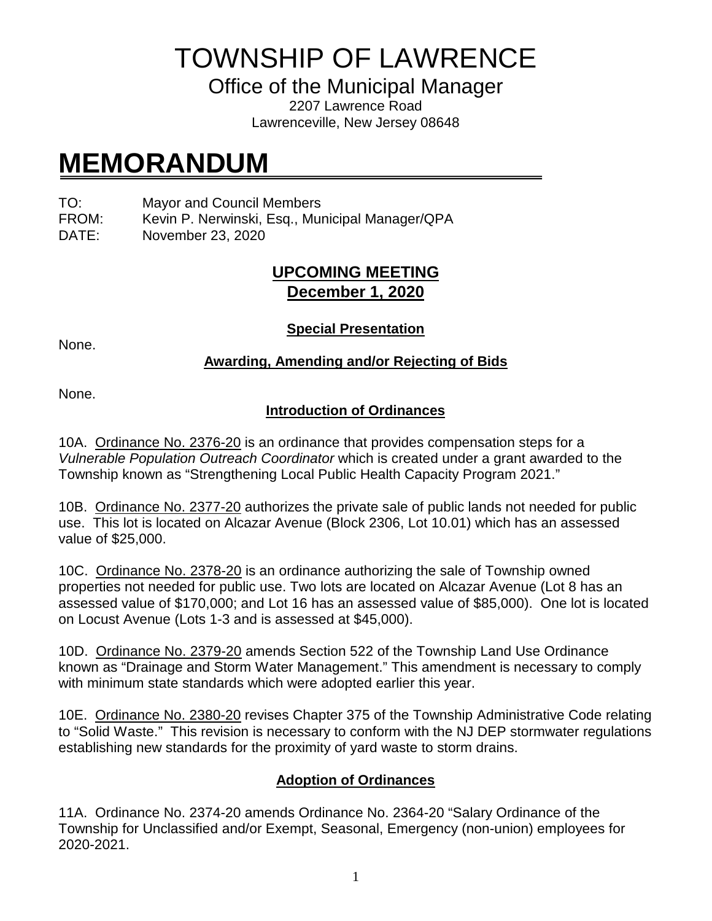# TOWNSHIP OF LAWRENCE

Office of the Municipal Manager

2207 Lawrence Road Lawrenceville, New Jersey 08648

# **MEMORANDUM**

TO: Mayor and Council Members

FROM: Kevin P. Nerwinski, Esq., Municipal Manager/QPA

DATE: November 23, 2020

## **UPCOMING MEETING December 1, 2020**

None.

**Special Presentation**

#### **Awarding, Amending and/or Rejecting of Bids**

None.

### **Introduction of Ordinances**

10A. Ordinance No. 2376-20 is an ordinance that provides compensation steps for a *Vulnerable Population Outreach Coordinator* which is created under a grant awarded to the Township known as "Strengthening Local Public Health Capacity Program 2021."

10B. Ordinance No. 2377-20 authorizes the private sale of public lands not needed for public use. This lot is located on Alcazar Avenue (Block 2306, Lot 10.01) which has an assessed value of \$25,000.

10C. Ordinance No. 2378-20 is an ordinance authorizing the sale of Township owned properties not needed for public use. Two lots are located on Alcazar Avenue (Lot 8 has an assessed value of \$170,000; and Lot 16 has an assessed value of \$85,000). One lot is located on Locust Avenue (Lots 1-3 and is assessed at \$45,000).

10D. Ordinance No. 2379-20 amends Section 522 of the Township Land Use Ordinance known as "Drainage and Storm Water Management." This amendment is necessary to comply with minimum state standards which were adopted earlier this year.

10E. Ordinance No. 2380-20 revises Chapter 375 of the Township Administrative Code relating to "Solid Waste." This revision is necessary to conform with the NJ DEP stormwater regulations establishing new standards for the proximity of yard waste to storm drains.

## **Adoption of Ordinances**

11A. Ordinance No. 2374-20 amends Ordinance No. 2364-20 "Salary Ordinance of the Township for Unclassified and/or Exempt, Seasonal, Emergency (non-union) employees for 2020-2021.